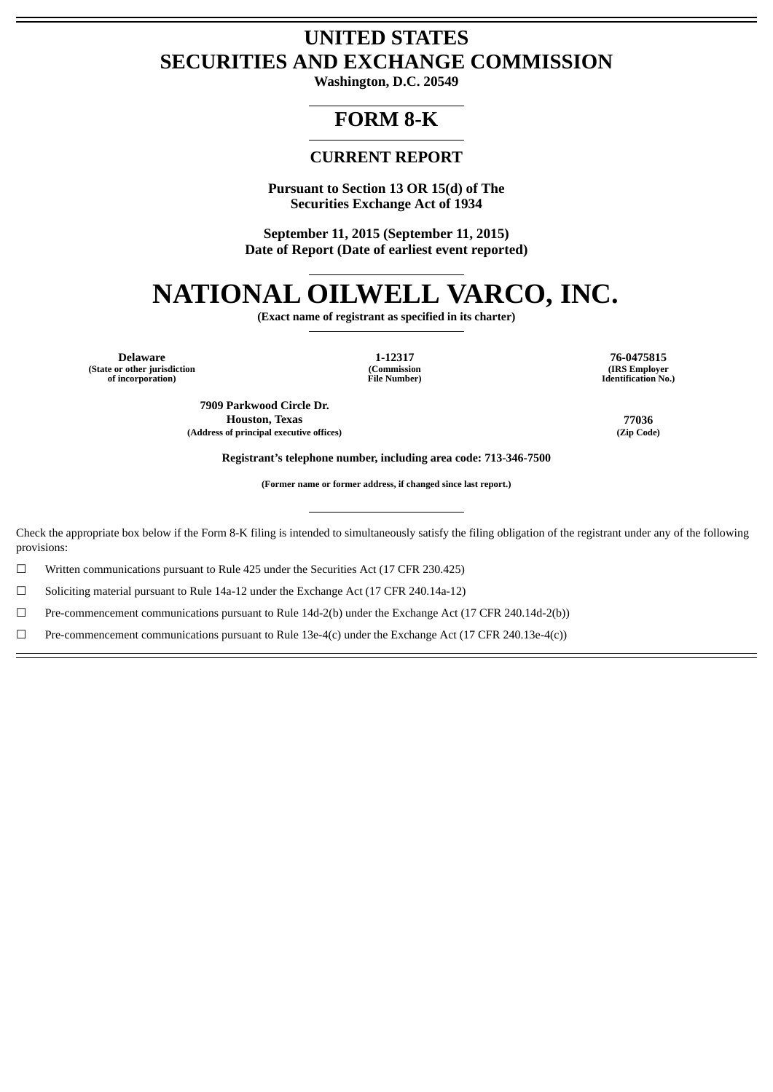## **UNITED STATES SECURITIES AND EXCHANGE COMMISSION**

**Washington, D.C. 20549**

## **FORM 8-K**

### **CURRENT REPORT**

**Pursuant to Section 13 OR 15(d) of The Securities Exchange Act of 1934**

**September 11, 2015 (September 11, 2015) Date of Report (Date of earliest event reported)**

# **NATIONAL OILWELL VARCO, INC.**

**(Exact name of registrant as specified in its charter)**

**Delaware 1-12317 76-0475815 (State or other jurisdiction of incorporation)**

**(Commission File Number)**

**(IRS Employer Identification No.)**

**7909 Parkwood Circle Dr. Houston, Texas 77036 (Address of principal executive offices) (Zip Code)**

**Registrant's telephone number, including area code: 713-346-7500**

**(Former name or former address, if changed since last report.)**

Check the appropriate box below if the Form 8-K filing is intended to simultaneously satisfy the filing obligation of the registrant under any of the following provisions:

 $\Box$  Written communications pursuant to Rule 425 under the Securities Act (17 CFR 230.425)

☐ Soliciting material pursuant to Rule 14a-12 under the Exchange Act (17 CFR 240.14a-12)

☐ Pre-commencement communications pursuant to Rule 14d-2(b) under the Exchange Act (17 CFR 240.14d-2(b))

 $□$  Pre-commencement communications pursuant to Rule 13e-4(c) under the Exchange Act (17 CFR 240.13e-4(c))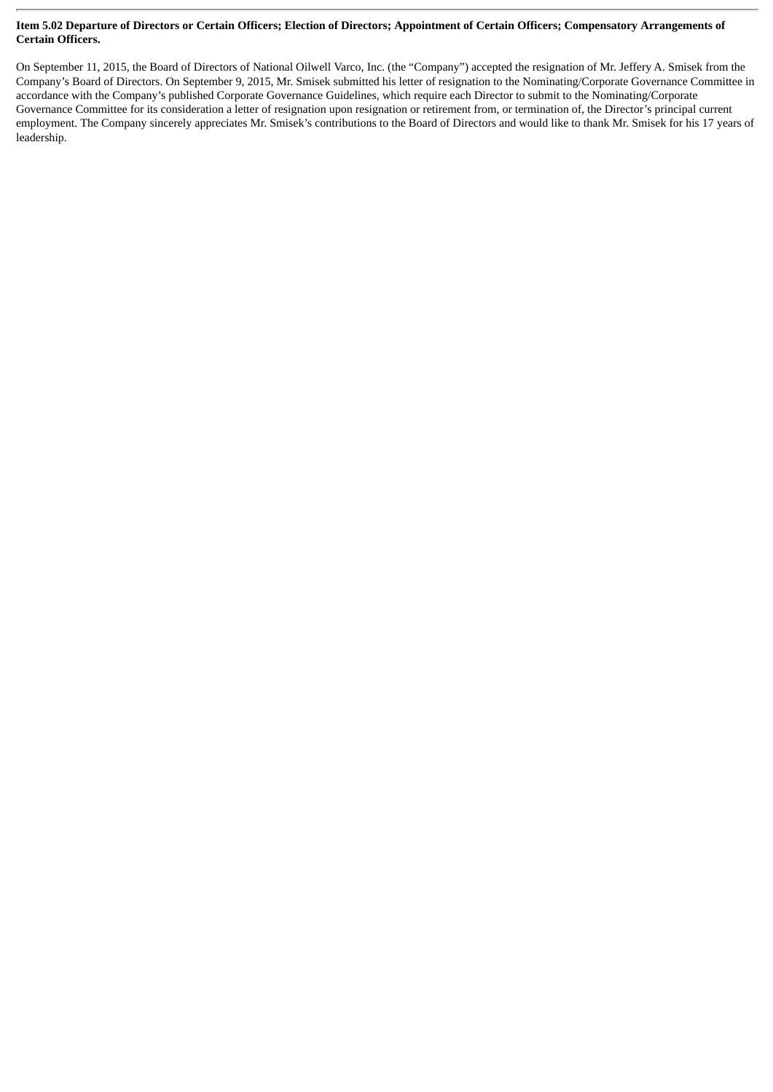#### Item 5.02 Departure of Directors or Certain Officers; Election of Directors; Appointment of Certain Officers; Compensatory Arrangements of **Certain Officers.**

On September 11, 2015, the Board of Directors of National Oilwell Varco, Inc. (the "Company") accepted the resignation of Mr. Jeffery A. Smisek from the Company's Board of Directors. On September 9, 2015, Mr. Smisek submitted his letter of resignation to the Nominating/Corporate Governance Committee in accordance with the Company's published Corporate Governance Guidelines, which require each Director to submit to the Nominating/Corporate Governance Committee for its consideration a letter of resignation upon resignation or retirement from, or termination of, the Director's principal current employment. The Company sincerely appreciates Mr. Smisek's contributions to the Board of Directors and would like to thank Mr. Smisek for his 17 years of leadership.